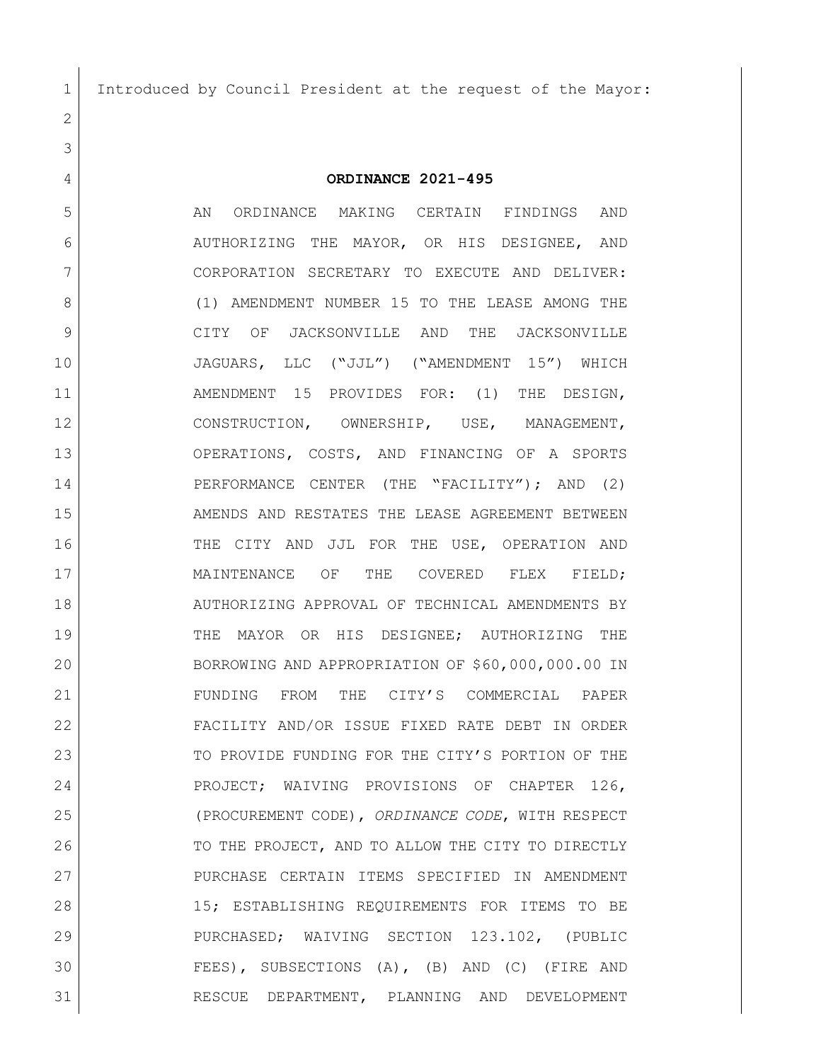Introduced by Council President at the request of the Mayor:

## **ORDINANCE 2021-495**

5 AN ORDINANCE MAKING CERTAIN FINDINGS AND AUTHORIZING THE MAYOR, OR HIS DESIGNEE, AND CORPORATION SECRETARY TO EXECUTE AND DELIVER: 8 (1) AMENDMENT NUMBER 15 TO THE LEASE AMONG THE CITY OF JACKSONVILLE AND THE JACKSONVILLE JAGUARS, LLC ("JJL") ("AMENDMENT 15") WHICH AMENDMENT 15 PROVIDES FOR: (1) THE DESIGN, CONSTRUCTION, OWNERSHIP, USE, MANAGEMENT, 13 OPERATIONS, COSTS, AND FINANCING OF A SPORTS 14 | PERFORMANCE CENTER (THE "FACILITY"); AND (2) 15 AMENDS AND RESTATES THE LEASE AGREEMENT BETWEEN 16 THE CITY AND JJL FOR THE USE, OPERATION AND 17 MAINTENANCE OF THE COVERED FLEX FIELD: AUTHORIZING APPROVAL OF TECHNICAL AMENDMENTS BY THE MAYOR OR HIS DESIGNEE; AUTHORIZING THE BORROWING AND APPROPRIATION OF \$60,000,000.00 IN FUNDING FROM THE CITY'S COMMERCIAL PAPER FACILITY AND/OR ISSUE FIXED RATE DEBT IN ORDER 23 TO PROVIDE FUNDING FOR THE CITY'S PORTION OF THE 24 PROJECT; WAIVING PROVISIONS OF CHAPTER 126, (PROCUREMENT CODE), *ORDINANCE CODE*, WITH RESPECT 26 TO THE PROJECT, AND TO ALLOW THE CITY TO DIRECTLY PURCHASE CERTAIN ITEMS SPECIFIED IN AMENDMENT 15; ESTABLISHING REQUIREMENTS FOR ITEMS TO BE PURCHASED; WAIVING SECTION 123.102, (PUBLIC FEES), SUBSECTIONS (A), (B) AND (C) (FIRE AND RESCUE DEPARTMENT, PLANNING AND DEVELOPMENT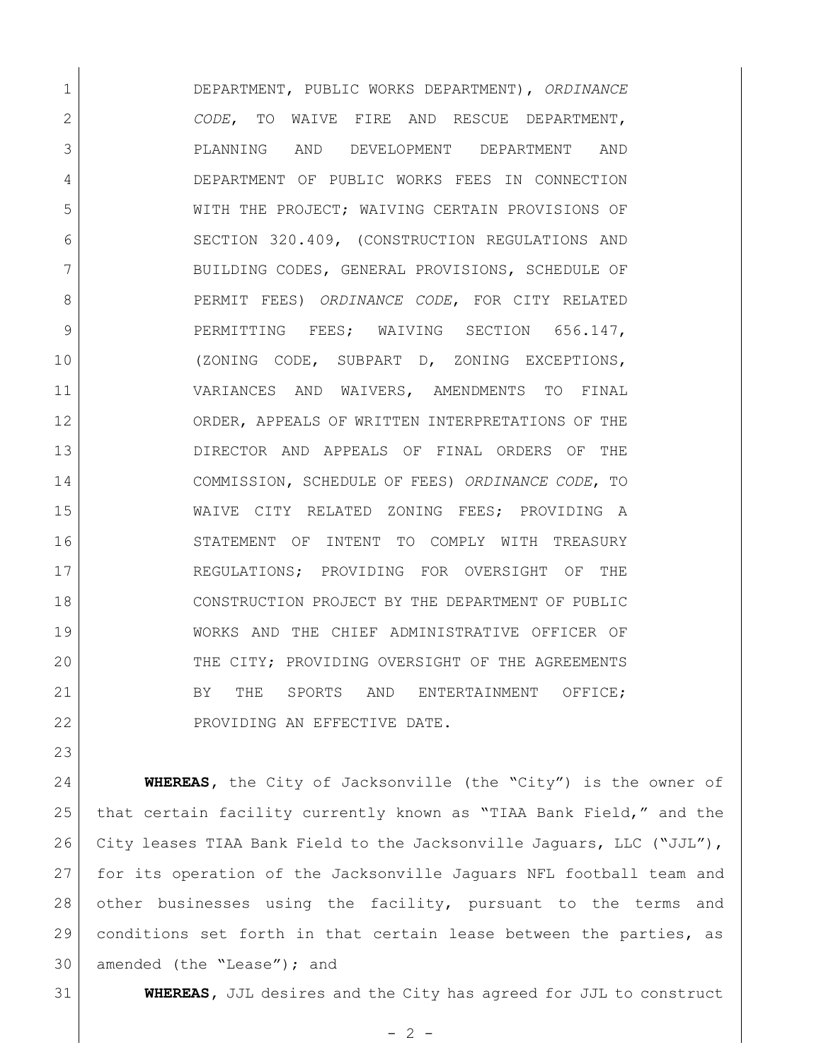DEPARTMENT, PUBLIC WORKS DEPARTMENT), *ORDINANCE CODE*, TO WAIVE FIRE AND RESCUE DEPARTMENT, PLANNING AND DEVELOPMENT DEPARTMENT AND DEPARTMENT OF PUBLIC WORKS FEES IN CONNECTION WITH THE PROJECT; WAIVING CERTAIN PROVISIONS OF SECTION 320.409, (CONSTRUCTION REGULATIONS AND 7 BUILDING CODES, GENERAL PROVISIONS, SCHEDULE OF PERMIT FEES) *ORDINANCE CODE*, FOR CITY RELATED 9 PERMITTING FEES; WAIVING SECTION 656.147, (ZONING CODE, SUBPART D, ZONING EXCEPTIONS, VARIANCES AND WAIVERS, AMENDMENTS TO FINAL ORDER, APPEALS OF WRITTEN INTERPRETATIONS OF THE DIRECTOR AND APPEALS OF FINAL ORDERS OF THE COMMISSION, SCHEDULE OF FEES) *ORDINANCE CODE*, TO WAIVE CITY RELATED ZONING FEES; PROVIDING A STATEMENT OF INTENT TO COMPLY WITH TREASURY REGULATIONS; PROVIDING FOR OVERSIGHT OF THE CONSTRUCTION PROJECT BY THE DEPARTMENT OF PUBLIC WORKS AND THE CHIEF ADMINISTRATIVE OFFICER OF 20 THE CITY; PROVIDING OVERSIGHT OF THE AGREEMENTS 21 BY THE SPORTS AND ENTERTAINMENT OFFICE; 22 PROVIDING AN EFFECTIVE DATE.

 **WHEREAS,** the City of Jacksonville (the "City") is the owner of that certain facility currently known as "TIAA Bank Field," and the City leases TIAA Bank Field to the Jacksonville Jaguars, LLC ("JJL"), for its operation of the Jacksonville Jaguars NFL football team and other businesses using the facility, pursuant to the terms and conditions set forth in that certain lease between the parties, as 30 | amended (the "Lease"); and

**WHEREAS,** JJL desires and the City has agreed for JJL to construct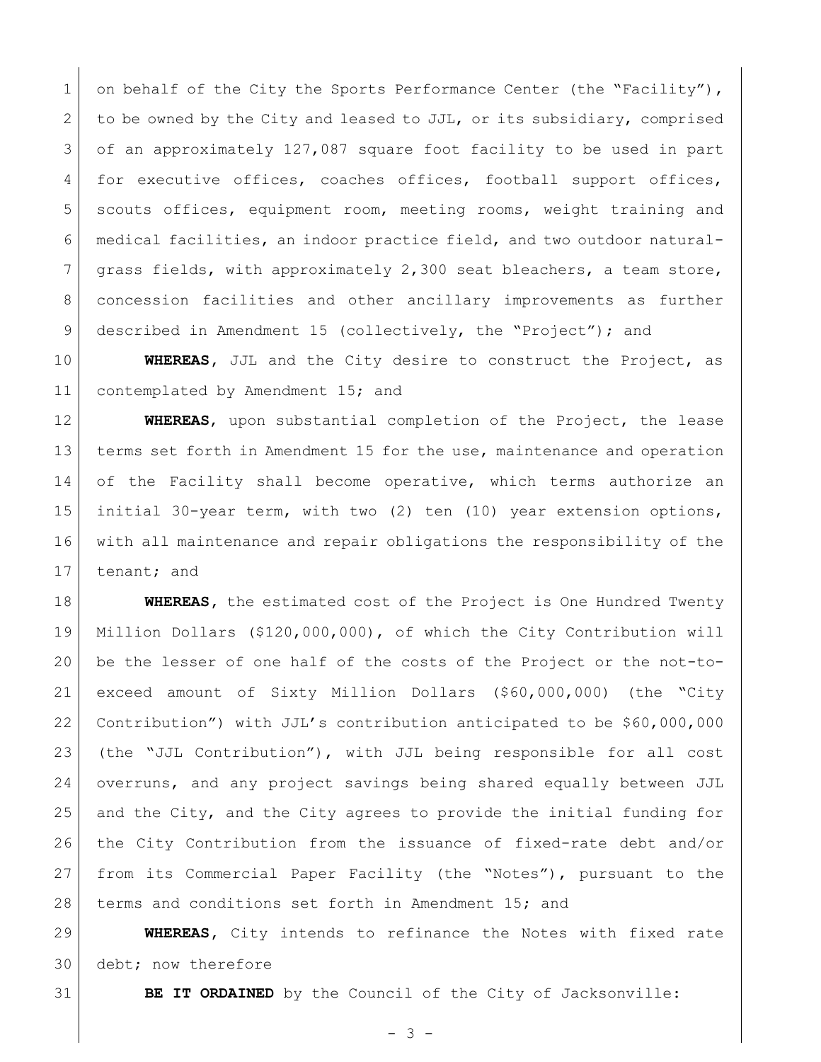1 on behalf of the City the Sports Performance Center (the "Facility"), 2 to be owned by the City and leased to JJL, or its subsidiary, comprised 3 of an approximately 127,087 square foot facility to be used in part 4 for executive offices, coaches offices, football support offices, scouts offices, equipment room, meeting rooms, weight training and medical facilities, an indoor practice field, and two outdoor natural- grass fields, with approximately 2,300 seat bleachers, a team store, concession facilities and other ancillary improvements as further described in Amendment 15 (collectively, the "Project"); and

 **WHEREAS,** JJL and the City desire to construct the Project, as 11 contemplated by Amendment 15; and

 **WHEREAS**, upon substantial completion of the Project, the lease 13 terms set forth in Amendment 15 for the use, maintenance and operation 14 of the Facility shall become operative, which terms authorize an initial 30-year term, with two (2) ten (10) year extension options, with all maintenance and repair obligations the responsibility of the tenant; and

 **WHEREAS,** the estimated cost of the Project is One Hundred Twenty Million Dollars (\$120,000,000), of which the City Contribution will be the lesser of one half of the costs of the Project or the not-to- exceed amount of Sixty Million Dollars (\$60,000,000) (the "City Contribution") with JJL's contribution anticipated to be \$60,000,000 (the "JJL Contribution"), with JJL being responsible for all cost overruns, and any project savings being shared equally between JJL and the City, and the City agrees to provide the initial funding for the City Contribution from the issuance of fixed-rate debt and/or from its Commercial Paper Facility (the "Notes"), pursuant to the terms and conditions set forth in Amendment 15; and

 **WHEREAS,** City intends to refinance the Notes with fixed rate 30 debt; now therefore

**BE IT ORDAINED** by the Council of the City of Jacksonville:

 $- 3 -$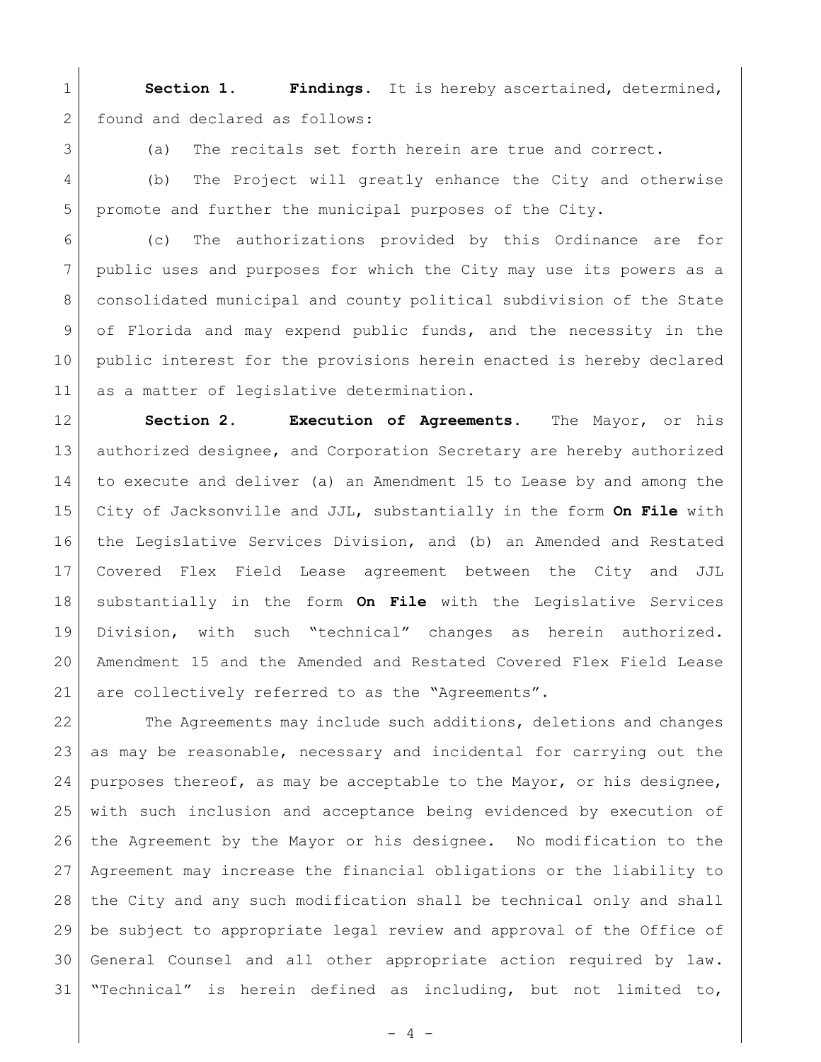**Section 1. Findings.** It is hereby ascertained, determined, 2 found and declared as follows:

3 (a) The recitals set forth herein are true and correct.

4 (b) The Project will greatly enhance the City and otherwise promote and further the municipal purposes of the City.

 (c) The authorizations provided by this Ordinance are for public uses and purposes for which the City may use its powers as a consolidated municipal and county political subdivision of the State of Florida and may expend public funds, and the necessity in the public interest for the provisions herein enacted is hereby declared 11 as a matter of legislative determination.

 **Section 2. Execution of Agreements.** The Mayor, or his 13 authorized designee, and Corporation Secretary are hereby authorized to execute and deliver (a) an Amendment 15 to Lease by and among the City of Jacksonville and JJL, substantially in the form **On File** with the Legislative Services Division, and (b) an Amended and Restated Covered Flex Field Lease agreement between the City and JJL substantially in the form **On File** with the Legislative Services Division, with such "technical" changes as herein authorized. Amendment 15 and the Amended and Restated Covered Flex Field Lease 21 are collectively referred to as the "Agreements".

22 The Agreements may include such additions, deletions and changes as may be reasonable, necessary and incidental for carrying out the 24 | purposes thereof, as may be acceptable to the Mayor, or his designee, with such inclusion and acceptance being evidenced by execution of the Agreement by the Mayor or his designee. No modification to the Agreement may increase the financial obligations or the liability to the City and any such modification shall be technical only and shall be subject to appropriate legal review and approval of the Office of General Counsel and all other appropriate action required by law. "Technical" is herein defined as including, but not limited to,

 $- 4 -$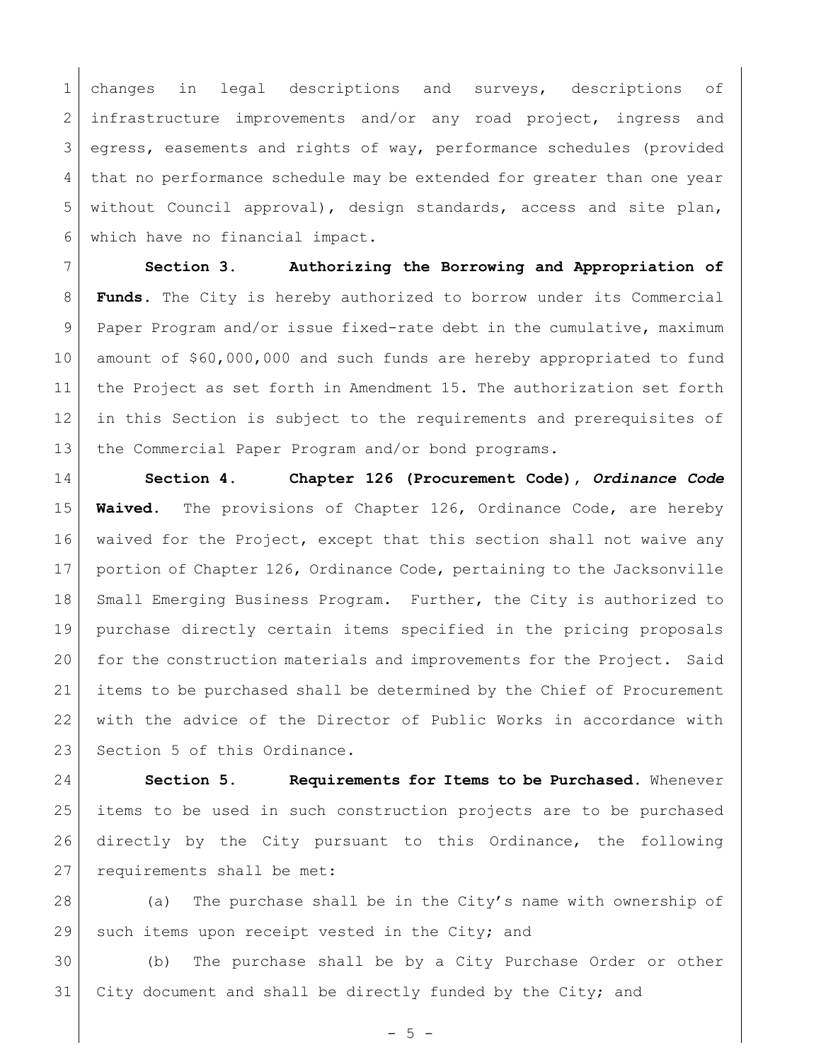changes in legal descriptions and surveys, descriptions of 2 infrastructure improvements and/or any road project, ingress and egress, easements and rights of way, performance schedules (provided that no performance schedule may be extended for greater than one year without Council approval), design standards, access and site plan, which have no financial impact.

 **Section 3. Authorizing the Borrowing and Appropriation of Funds.** The City is hereby authorized to borrow under its Commercial Paper Program and/or issue fixed-rate debt in the cumulative, maximum amount of \$60,000,000 and such funds are hereby appropriated to fund the Project as set forth in Amendment 15. The authorization set forth in this Section is subject to the requirements and prerequisites of the Commercial Paper Program and/or bond programs.

 **Section 4. Chapter 126 (Procurement Code),** *Ordinance Code* **Waived.** The provisions of Chapter 126, Ordinance Code, are hereby waived for the Project, except that this section shall not waive any 17 portion of Chapter 126, Ordinance Code, pertaining to the Jacksonville 18 Small Emerging Business Program. Further, the City is authorized to purchase directly certain items specified in the pricing proposals for the construction materials and improvements for the Project. Said items to be purchased shall be determined by the Chief of Procurement with the advice of the Director of Public Works in accordance with 23 Section 5 of this Ordinance.

 **Section 5. Requirements for Items to be Purchased.** Whenever items to be used in such construction projects are to be purchased directly by the City pursuant to this Ordinance, the following 27 requirements shall be met:

 (a) The purchase shall be in the City's name with ownership of 29 | such items upon receipt vested in the City; and

 (b) The purchase shall be by a City Purchase Order or other 31 City document and shall be directly funded by the City; and

 $- 5 -$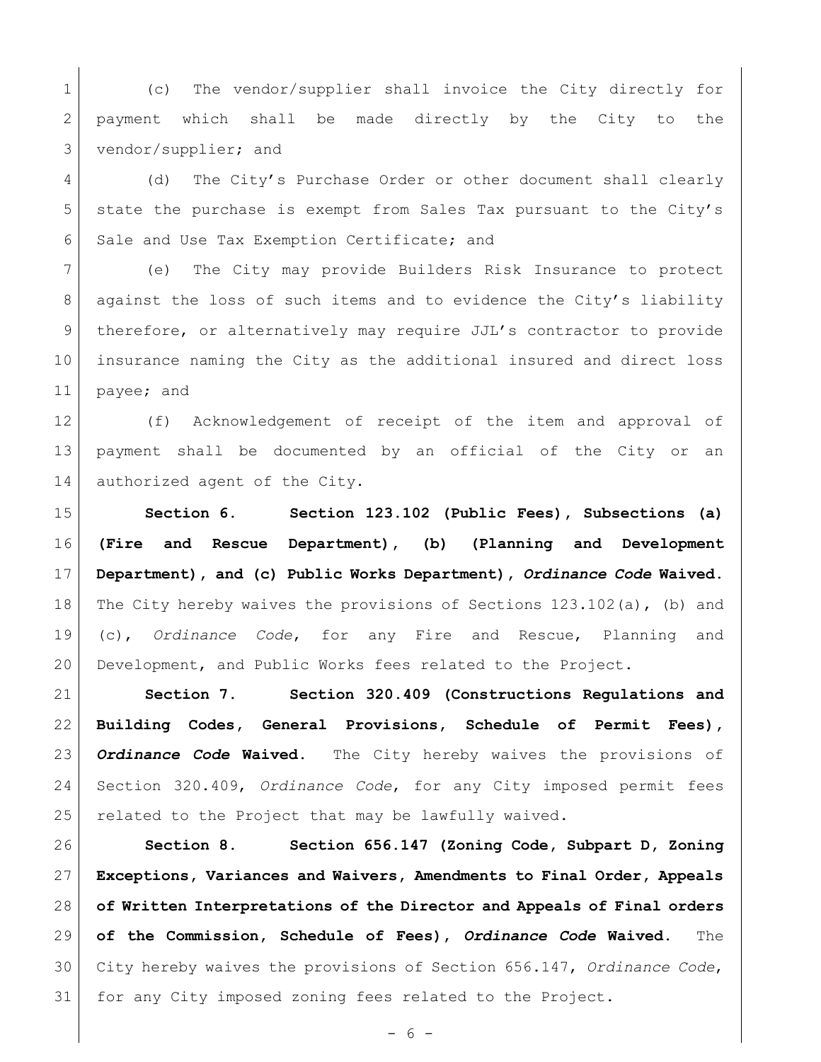1 (c) The vendor/supplier shall invoice the City directly for payment which shall be made directly by the City to the vendor/supplier; and

 (d) The City's Purchase Order or other document shall clearly state the purchase is exempt from Sales Tax pursuant to the City's 6 Sale and Use Tax Exemption Certificate; and

 (e) The City may provide Builders Risk Insurance to protect 8 | against the loss of such items and to evidence the City's liability therefore, or alternatively may require JJL's contractor to provide insurance naming the City as the additional insured and direct loss payee; and

 (f) Acknowledgement of receipt of the item and approval of payment shall be documented by an official of the City or an 14 authorized agent of the City.

 **Section 6. Section 123.102 (Public Fees), Subsections (a) (Fire and Rescue Department), (b) (Planning and Development Department), and (c) Public Works Department),** *Ordinance Code* **Waived.**  18 The City hereby waives the provisions of Sections 123.102(a), (b) and (c), *Ordinance Code*, for any Fire and Rescue, Planning and Development, and Public Works fees related to the Project.

 **Section 7. Section 320.409 (Constructions Regulations and Building Codes, General Provisions, Schedule of Permit Fees),** *Ordinance Code* **Waived.** The City hereby waives the provisions of Section 320.409, *Ordinance Code*, for any City imposed permit fees related to the Project that may be lawfully waived.

 **Section 8. Section 656.147 (Zoning Code, Subpart D, Zoning Exceptions, Variances and Waivers, Amendments to Final Order, Appeals of Written Interpretations of the Director and Appeals of Final orders of the Commission, Schedule of Fees),** *Ordinance Code* **Waived.** The City hereby waives the provisions of Section 656.147, *Ordinance Code*, for any City imposed zoning fees related to the Project.

- 6 -